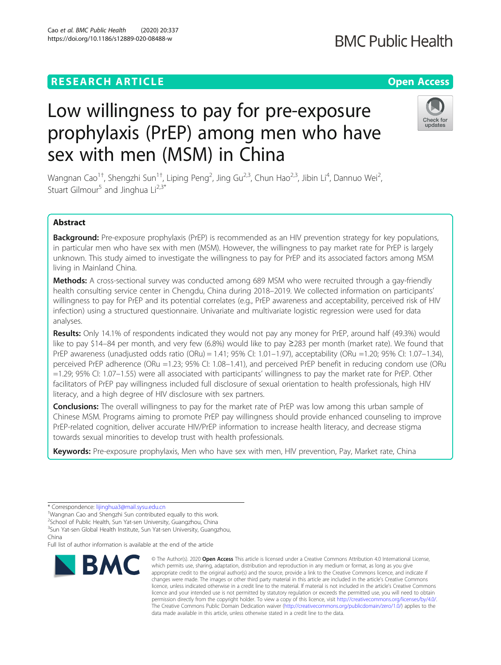## **RESEARCH ARTICLE Example 2014 12:30 The Contract of Contract ACCESS**

# Low willingness to pay for pre-exposure prophylaxis (PrEP) among men who have sex with men (MSM) in China

Wangnan Cao $^{1\dagger}$ , Shengzhi Sun $^{1\dagger}$ , Liping Peng $^2$ , Jing Gu $^{2,3}$ , Chun Hao $^{2,3}$ , Jibin Li $^4$ , Dannuo Wei $^2$ , Stuart Gilmour<sup>5</sup> and Jinghua  $Li<sup>2,3*</sup>$ 

### Abstract

Background: Pre-exposure prophylaxis (PrEP) is recommended as an HIV prevention strategy for key populations, in particular men who have sex with men (MSM). However, the willingness to pay market rate for PrEP is largely unknown. This study aimed to investigate the willingness to pay for PrEP and its associated factors among MSM living in Mainland China.

**Methods:** A cross-sectional survey was conducted among 689 MSM who were recruited through a gay-friendly health consulting service center in Chengdu, China during 2018–2019. We collected information on participants' willingness to pay for PrEP and its potential correlates (e.g., PrEP awareness and acceptability, perceived risk of HIV infection) using a structured questionnaire. Univariate and multivariate logistic regression were used for data analyses.

Results: Only 14.1% of respondents indicated they would not pay any money for PrEP, around half (49.3%) would like to pay \$14–84 per month, and very few (6.8%) would like to pay ≥283 per month (market rate). We found that PrEP awareness (unadjusted odds ratio (ORu) = 1.41; 95% CI: 1.01–1.97), acceptability (ORu =1.20; 95% CI: 1.07–1.34), perceived PrEP adherence (ORu =1.23; 95% CI: 1.08–1.41), and perceived PrEP benefit in reducing condom use (ORu =1.29; 95% CI: 1.07–1.55) were all associated with participants' willingness to pay the market rate for PrEP. Other facilitators of PrEP pay willingness included full disclosure of sexual orientation to health professionals, high HIV literacy, and a high degree of HIV disclosure with sex partners.

**Conclusions:** The overall willingness to pay for the market rate of PrEP was low among this urban sample of Chinese MSM. Programs aiming to promote PrEP pay willingness should provide enhanced counseling to improve PrEP-related cognition, deliver accurate HIV/PrEP information to increase health literacy, and decrease stigma towards sexual minorities to develop trust with health professionals.

Keywords: Pre-exposure prophylaxis, Men who have sex with men, HIV prevention, Pay, Market rate, China

Full list of author information is available at the end of the article



<sup>©</sup> The Author(s), 2020 **Open Access** This article is licensed under a Creative Commons Attribution 4.0 International License, which permits use, sharing, adaptation, distribution and reproduction in any medium or format, as long as you give appropriate credit to the original author(s) and the source, provide a link to the Creative Commons licence, and indicate if changes were made. The images or other third party material in this article are included in the article's Creative Commons licence, unless indicated otherwise in a credit line to the material. If material is not included in the article's Creative Commons licence and your intended use is not permitted by statutory regulation or exceeds the permitted use, you will need to obtain permission directly from the copyright holder. To view a copy of this licence, visit [http://creativecommons.org/licenses/by/4.0/.](http://creativecommons.org/licenses/by/4.0/) The Creative Commons Public Domain Dedication waiver [\(http://creativecommons.org/publicdomain/zero/1.0/](http://creativecommons.org/publicdomain/zero/1.0/)) applies to the data made available in this article, unless otherwise stated in a credit line to the data.





<sup>\*</sup> Correspondence: [lijinghua3@mail.sysu.edu.cn](mailto:lijinghua3@mail.sysu.edu.cn) †

Wangnan Cao and Shengzhi Sun contributed equally to this work.

<sup>2</sup> School of Public Health, Sun Yat-sen University, Guangzhou, China

<sup>&</sup>lt;sup>3</sup>Sun Yat-sen Global Health Institute, Sun Yat-sen University, Guangzhou, China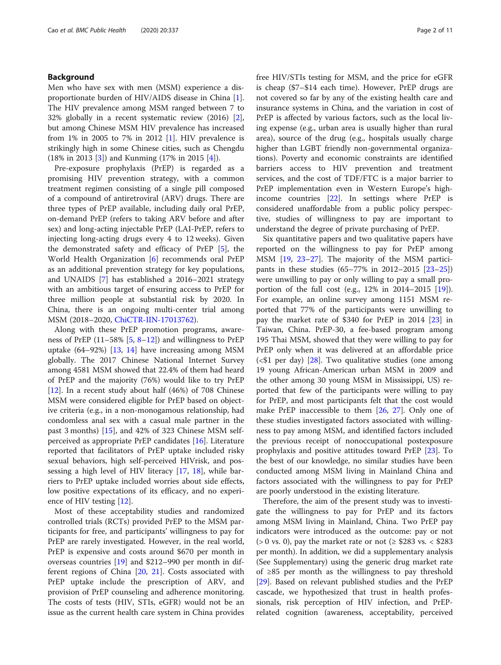#### Background

Men who have sex with men (MSM) experience a disproportionate burden of HIV/AIDS disease in China [\[1](#page-10-0)]. The HIV prevalence among MSM ranged between 7 to 32% globally in a recent systematic review (2016) [\[2](#page-10-0)], but among Chinese MSM HIV prevalence has increased from 1% in 2005 to 7% in 2012 [\[1](#page-10-0)]. HIV prevalence is strikingly high in some Chinese cities, such as Chengdu (18% in 2013 [\[3](#page-10-0)]) and Kunming (17% in 2015 [[4\]](#page-10-0)).

Pre-exposure prophylaxis (PrEP) is regarded as a promising HIV prevention strategy, with a common treatment regimen consisting of a single pill composed of a compound of antiretroviral (ARV) drugs. There are three types of PrEP available, including daily oral PrEP, on-demand PrEP (refers to taking ARV before and after sex) and long-acting injectable PrEP (LAI-PrEP, refers to injecting long-acting drugs every 4 to 12 weeks). Given the demonstrated safety and efficacy of PrEP [\[5](#page-10-0)], the World Health Organization [\[6](#page-10-0)] recommends oral PrEP as an additional prevention strategy for key populations, and UNAIDS [[7\]](#page-10-0) has established a 2016–2021 strategy with an ambitious target of ensuring access to PrEP for three million people at substantial risk by 2020. In China, there is an ongoing multi-center trial among MSM (2018–2020, [ChiCTR-IIN-17013762](http://www.chictr.org.cn/hvshowproject.aspx?id=13419)).

Along with these PrEP promotion programs, awareness of PrEP (11–58% [\[5](#page-10-0), [8](#page-10-0)–[12\]](#page-10-0)) and willingness to PrEP uptake (64–92%) [\[13,](#page-10-0) [14](#page-10-0)] have increasing among MSM globally. The 2017 Chinese National Internet Survey among 4581 MSM showed that 22.4% of them had heard of PrEP and the majority (76%) would like to try PrEP [[12\]](#page-10-0). In a recent study about half (46%) of 708 Chinese MSM were considered eligible for PrEP based on objective criteria (e.g., in a non-monogamous relationship, had condomless anal sex with a casual male partner in the past 3 months) [\[15](#page-10-0)], and 42% of 323 Chinese MSM selfperceived as appropriate PrEP candidates [\[16\]](#page-10-0). Literature reported that facilitators of PrEP uptake included risky sexual behaviors, high self-perceived HIVrisk, and possessing a high level of HIV literacy [[17,](#page-10-0) [18\]](#page-10-0), while barriers to PrEP uptake included worries about side effects, low positive expectations of its efficacy, and no experience of HIV testing [[12\]](#page-10-0).

Most of these acceptability studies and randomized controlled trials (RCTs) provided PrEP to the MSM participants for free, and participants' willingness to pay for PrEP are rarely investigated. However, in the real world, PrEP is expensive and costs around \$670 per month in overseas countries [[19\]](#page-10-0) and \$212–990 per month in different regions of China [[20,](#page-10-0) [21](#page-10-0)]. Costs associated with PrEP uptake include the prescription of ARV, and provision of PrEP counseling and adherence monitoring. The costs of tests (HIV, STIs, eGFR) would not be an issue as the current health care system in China provides free HIV/STIs testing for MSM, and the price for eGFR is cheap (\$7–\$14 each time). However, PrEP drugs are not covered so far by any of the existing health care and insurance systems in China, and the variation in cost of PrEP is affected by various factors, such as the local living expense (e.g., urban area is usually higher than rural area), source of the drug (e.g., hospitals usually charge higher than LGBT friendly non-governmental organizations). Poverty and economic constraints are identified barriers access to HIV prevention and treatment services, and the cost of TDF/FTC is a major barrier to PrEP implementation even in Western Europe's highincome countries [\[22\]](#page-10-0). In settings where PrEP is considered unaffordable from a public policy perspective, studies of willingness to pay are important to understand the degree of private purchasing of PrEP.

Six quantitative papers and two qualitative papers have reported on the willingness to pay for PrEP among MSM [\[19,](#page-10-0) [23](#page-10-0)–[27\]](#page-10-0). The majority of the MSM participants in these studies (65–77% in 2012–2015 [[23](#page-10-0)–[25](#page-10-0)]) were unwilling to pay or only willing to pay a small proportion of the full cost (e.g., 12% in 2014–2015 [\[19](#page-10-0)]). For example, an online survey among 1151 MSM reported that 77% of the participants were unwilling to pay the market rate of \$340 for PrEP in 2014 [[23\]](#page-10-0) in Taiwan, China. PrEP-30, a fee-based program among 195 Thai MSM, showed that they were willing to pay for PrEP only when it was delivered at an affordable price  $(\leq$ \$1 per day) [[28](#page-10-0)]. Two qualitative studies (one among 19 young African-American urban MSM in 2009 and the other among 30 young MSM in Mississippi, US) reported that few of the participants were willing to pay for PrEP, and most participants felt that the cost would make PrEP inaccessible to them  $[26, 27]$  $[26, 27]$  $[26, 27]$ . Only one of these studies investigated factors associated with willingness to pay among MSM, and identified factors included the previous receipt of nonoccupational postexposure prophylaxis and positive attitudes toward PrEP [[23\]](#page-10-0). To the best of our knowledge, no similar studies have been conducted among MSM living in Mainland China and factors associated with the willingness to pay for PrEP are poorly understood in the existing literature.

Therefore, the aim of the present study was to investigate the willingness to pay for PrEP and its factors among MSM living in Mainland, China. Two PrEP pay indicators were introduced as the outcome: pay or not ( $> 0$  vs. 0), pay the market rate or not ( $\geq$  \$283 vs. < \$283 per month). In addition, we did a supplementary analysis (See Supplementary) using the generic drug market rate of ≥85 per month as the willingness to pay threshold [[29\]](#page-10-0). Based on relevant published studies and the PrEP cascade, we hypothesized that trust in health professionals, risk perception of HIV infection, and PrEPrelated cognition (awareness, acceptability, perceived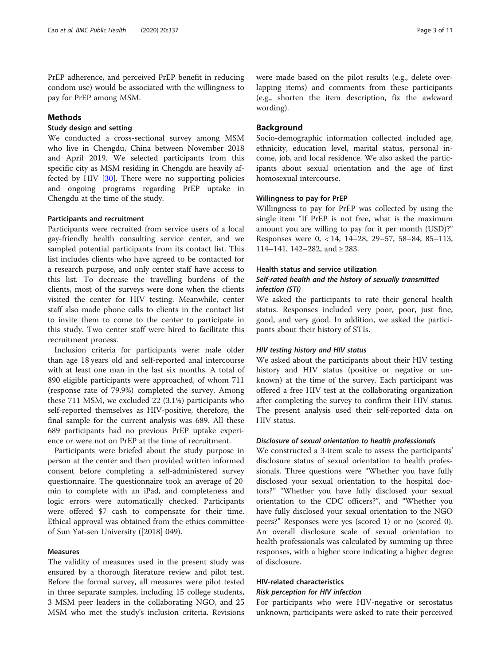PrEP adherence, and perceived PrEP benefit in reducing condom use) would be associated with the willingness to pay for PrEP among MSM.

#### Methods

#### Study design and setting

We conducted a cross-sectional survey among MSM who live in Chengdu, China between November 2018 and April 2019. We selected participants from this specific city as MSM residing in Chengdu are heavily affected by HIV [[30](#page-10-0)]. There were no supporting policies and ongoing programs regarding PrEP uptake in Chengdu at the time of the study.

#### Participants and recruitment

Participants were recruited from service users of a local gay-friendly health consulting service center, and we sampled potential participants from its contact list. This list includes clients who have agreed to be contacted for a research purpose, and only center staff have access to this list. To decrease the travelling burdens of the clients, most of the surveys were done when the clients visited the center for HIV testing. Meanwhile, center staff also made phone calls to clients in the contact list to invite them to come to the center to participate in this study. Two center staff were hired to facilitate this recruitment process.

Inclusion criteria for participants were: male older than age 18 years old and self-reported anal intercourse with at least one man in the last six months. A total of 890 eligible participants were approached, of whom 711 (response rate of 79.9%) completed the survey. Among these 711 MSM, we excluded 22 (3.1%) participants who self-reported themselves as HIV-positive, therefore, the final sample for the current analysis was 689. All these 689 participants had no previous PrEP uptake experience or were not on PrEP at the time of recruitment.

Participants were briefed about the study purpose in person at the center and then provided written informed consent before completing a self-administered survey questionnaire. The questionnaire took an average of 20 min to complete with an iPad, and completeness and logic errors were automatically checked. Participants were offered \$7 cash to compensate for their time. Ethical approval was obtained from the ethics committee of Sun Yat-sen University ([2018] 049).

#### Measures

The validity of measures used in the present study was ensured by a thorough literature review and pilot test. Before the formal survey, all measures were pilot tested in three separate samples, including 15 college students, 3 MSM peer leaders in the collaborating NGO, and 25 MSM who met the study's inclusion criteria. Revisions were made based on the pilot results (e.g., delete overlapping items) and comments from these participants (e.g., shorten the item description, fix the awkward wording).

#### Background

Socio-demographic information collected included age, ethnicity, education level, marital status, personal income, job, and local residence. We also asked the participants about sexual orientation and the age of first homosexual intercourse.

#### Willingness to pay for PrEP

Willingness to pay for PrEP was collected by using the single item "If PrEP is not free, what is the maximum amount you are willing to pay for it per month (USD)?" Responses were 0, < 14, 14–28, 29–57, 58–84, 85–113, 114–141, 142–282, and  $\geq$  283.

#### Health status and service utilization

#### Self-rated health and the history of sexually transmitted infection (STI)

We asked the participants to rate their general health status. Responses included very poor, poor, just fine, good, and very good. In addition, we asked the participants about their history of STIs.

#### HIV testing history and HIV status

We asked about the participants about their HIV testing history and HIV status (positive or negative or unknown) at the time of the survey. Each participant was offered a free HIV test at the collaborating organization after completing the survey to confirm their HIV status. The present analysis used their self-reported data on HIV status.

#### Disclosure of sexual orientation to health professionals

We constructed a 3-item scale to assess the participants' disclosure status of sexual orientation to health professionals. Three questions were "Whether you have fully disclosed your sexual orientation to the hospital doctors?" "Whether you have fully disclosed your sexual orientation to the CDC officers?", and "Whether you have fully disclosed your sexual orientation to the NGO peers?" Responses were yes (scored 1) or no (scored 0). An overall disclosure scale of sexual orientation to health professionals was calculated by summing up three responses, with a higher score indicating a higher degree of disclosure.

#### HIV-related characteristics

#### Risk perception for HIV infection

For participants who were HIV-negative or serostatus unknown, participants were asked to rate their perceived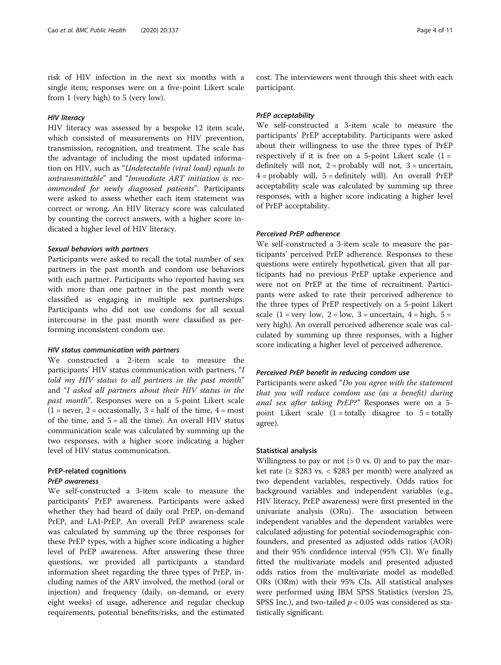risk of HIV infection in the next six months with a single item; responses were on a five-point Likert scale from 1 (very high) to 5 (very low).

#### HIV literacy

HIV literacy was assessed by a bespoke 12 item scale, which consisted of measurements on HIV prevention, transmission, recognition, and treatment. The scale has the advantage of including the most updated information on HIV, such as "Undetectable (viral load) equals to untransmittable" and "Immediate ART initiation is recommended for newly diagnosed patients". Participants were asked to assess whether each item statement was correct or wrong. An HIV literacy score was calculated by counting the correct answers, with a higher score indicated a higher level of HIV literacy.

#### Sexual behaviors with partners

Participants were asked to recall the total number of sex partners in the past month and condom use behaviors with each partner. Participants who reported having sex with more than one partner in the past month were classified as engaging in multiple sex partnerships. Participants who did not use condoms for all sexual intercourse in the past month were classified as performing inconsistent condom use.

#### HIV status communication with partners

We constructed a 2-item scale to measure the participants' HIV status communication with partners, "I told my HIV status to all partners in the past month" and "I asked all partners about their HIV status in the past month". Responses were on a 5-point Likert scale  $(1 = never, 2 = occasionally, 3 = half of the time, 4 = most$ of the time, and  $5 = all$  the time). An overall HIV status communication scale was calculated by summing up the two responses, with a higher score indicating a higher level of HIV status communication.

#### PrEP-related cognitions PrEP awareness

We self-constructed a 3-item scale to measure the participants' PrEP awareness. Participants were asked whether they had heard of daily oral PrEP, on-demand PrEP, and LAI-PrEP. An overall PrEP awareness scale was calculated by summing up the three responses for these PrEP types, with a higher score indicating a higher level of PrEP awareness. After answering these three questions, we provided all participants a standard information sheet regarding the three types of PrEP, including names of the ARV involved, the method (oral or injection) and frequency (daily, on-demand, or every eight weeks) of usage, adherence and regular checkup requirements, potential benefits/risks, and the estimated

cost. The interviewers went through this sheet with each participant.

#### PrEP acceptability

We self-constructed a 3-item scale to measure the participants' PrEP acceptability. Participants were asked about their willingness to use the three types of PrEP respectively if it is free on a 5-point Likert scale  $(1 =$ definitely will not,  $2 =$  probably will not,  $3 =$  uncertain,  $4 =$  probably will,  $5 =$  definitely will). An overall PrEP acceptability scale was calculated by summing up three responses, with a higher score indicating a higher level of PrEP acceptability.

#### Perceived PrEP adherence

We self-constructed a 3-item scale to measure the participants' perceived PrEP adherence. Responses to these questions were entirely hypothetical, given that all participants had no previous PrEP uptake experience and were not on PrEP at the time of recruitment. Participants were asked to rate their perceived adherence to the three types of PrEP respectively on a 5-point Likert scale  $(1 = \text{very low}, 2 = \text{low}, 3 = \text{uncertain}, 4 = \text{high}, 5 =$ very high). An overall perceived adherence scale was calculated by summing up three responses, with a higher score indicating a higher level of perceived adherence.

#### Perceived PrEP benefit in reducing condom use

Participants were asked "Do you agree with the statement that you will reduce condom use (as a benefit) during anal sex after taking PrEP?" Responses were on a 5 point Likert scale  $(1 = totally)$  disagree to  $5 = totally$ agree).

#### Statistical analysis

Willingness to pay or not  $(0, 0, 0)$  and to pay the market rate ( $\ge$  \$283 vs. < \$283 per month) were analyzed as two dependent variables, respectively. Odds ratios for background variables and independent variables (e.g., HIV literacy, PrEP awareness) were first presented in the univariate analysis (ORu). The association between independent variables and the dependent variables were calculated adjusting for potential sociodemographic confounders, and presented as adjusted odds ratios (AOR) and their 95% confidence interval (95% CI). We finally fitted the multivariate models and presented adjusted odds ratios from the multivariate model as modelled ORs (ORm) with their 95% CIs. All statistical analyses were performed using IBM SPSS Statistics (version 25, SPSS Inc.), and two-tailed  $p < 0.05$  was considered as statistically significant.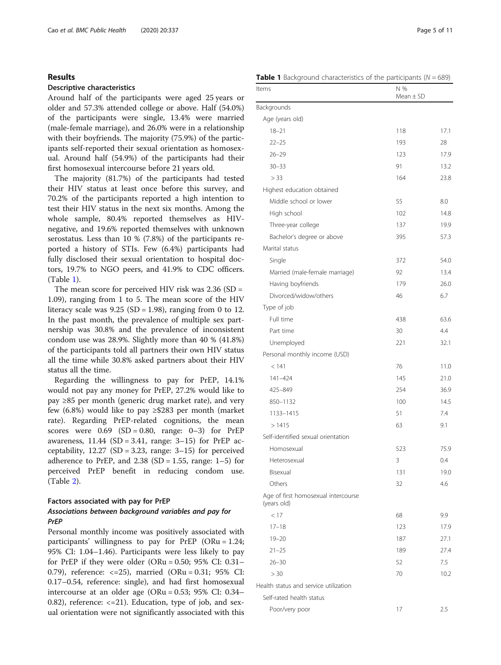#### Results

#### Descriptive characteristics

Around half of the participants were aged 25 years or older and 57.3% attended college or above. Half (54.0%) of the participants were single, 13.4% were married (male-female marriage), and 26.0% were in a relationship with their boyfriends. The majority (75.9%) of the participants self-reported their sexual orientation as homosexual. Around half (54.9%) of the participants had their first homosexual intercourse before 21 years old.

The majority (81.7%) of the participants had tested their HIV status at least once before this survey, and 70.2% of the participants reported a high intention to test their HIV status in the next six months. Among the whole sample, 80.4% reported themselves as HIVnegative, and 19.6% reported themselves with unknown serostatus. Less than 10 % (7.8%) of the participants reported a history of STIs. Few (6.4%) participants had fully disclosed their sexual orientation to hospital doctors, 19.7% to NGO peers, and 41.9% to CDC officers. (Table 1).

The mean score for perceived HIV risk was 2.36 (SD = 1.09), ranging from 1 to 5. The mean score of the HIV literacy scale was  $9.25$  (SD = 1.98), ranging from 0 to 12. In the past month, the prevalence of multiple sex partnership was 30.8% and the prevalence of inconsistent condom use was 28.9%. Slightly more than 40 % (41.8%) of the participants told all partners their own HIV status all the time while 30.8% asked partners about their HIV status all the time.

Regarding the willingness to pay for PrEP, 14.1% would not pay any money for PrEP, 27.2% would like to pay ≥85 per month (generic drug market rate), and very few (6.8%) would like to pay  $\geq$ \$283 per month (market rate). Regarding PrEP-related cognitions, the mean scores were  $0.69$  (SD = 0.80, range: 0–3) for PrEP awareness,  $11.44$  (SD = 3.41, range: 3-15) for PrEP acceptability,  $12.27$  (SD = 3.23, range: 3–15) for perceived adherence to PrEP, and  $2.38$  (SD = 1.55, range: 1–5) for perceived PrEP benefit in reducing condom use. (Table [2\)](#page-5-0).

#### Factors associated with pay for PrEP Associations between background variables and pay for PrEP

Personal monthly income was positively associated with participants' willingness to pay for PrEP (ORu = 1.24; 95% CI: 1.04–1.46). Participants were less likely to pay for PrEP if they were older (ORu =  $0.50$ ; 95% CI:  $0.31-$ 0.79), reference: <=25), married (ORu = 0.31; 95% CI: 0.17–0.54, reference: single), and had first homosexual intercourse at an older age (ORu = 0.53; 95% CI: 0.34– 0.82), reference:  $\langle 21 \rangle$ . Education, type of job, and sexual orientation were not significantly associated with this

| <b>Table 1</b> Background characteristics of the participants ( $N = 689$ ) |  |  |  |  |  |  |
|-----------------------------------------------------------------------------|--|--|--|--|--|--|
|-----------------------------------------------------------------------------|--|--|--|--|--|--|

| Items                                              | N %<br>Mean $\pm$ SD |      |
|----------------------------------------------------|----------------------|------|
| Backgrounds                                        |                      |      |
| Age (years old)                                    |                      |      |
| $18 - 21$                                          | 118                  | 17.1 |
| $22 - 25$                                          | 193                  | 28   |
| $26 - 29$                                          | 123                  | 17.9 |
| $30 - 33$                                          | 91                   | 13.2 |
| > 33                                               | 164                  | 23.8 |
| Highest education obtained                         |                      |      |
| Middle school or lower                             | 55                   | 8.0  |
| High school                                        | 102                  | 14.8 |
| Three-year college                                 | 137                  | 19.9 |
| Bachelor's degree or above                         | 395                  | 57.3 |
| Marital status                                     |                      |      |
| Single                                             | 372                  | 54.0 |
| Married (male-female marriage)                     | 92                   | 13.4 |
| Having boyfriends                                  | 179                  | 26.0 |
| Divorced/widow/others                              | 46                   | 6.7  |
| Type of job                                        |                      |      |
| Full time                                          | 438                  | 63.6 |
| Part time                                          | 30                   | 4.4  |
| Unemployed                                         | 221                  | 32.1 |
| Personal monthly income (USD)                      |                      |      |
| < 141                                              | 76                   | 11.0 |
| 141-424                                            | 145                  | 21.0 |
| 425-849                                            | 254                  | 36.9 |
| 850-1132                                           | 100                  | 14.5 |
| 1133-1415                                          | 51                   | 7.4  |
| >1415                                              | 63                   | 9.1  |
| Self-identified sexual orientation                 |                      |      |
| Homosexual                                         | 523                  | 75.9 |
| Heterosexual                                       | 3                    | 0.4  |
| Bisexual                                           | 131                  | 19.0 |
| Others                                             | 32                   | 4.6  |
| Age of first homosexual intercourse<br>(years old) |                      |      |
| < 17                                               | 68                   | 9.9  |
| $17 - 18$                                          | 123                  | 17.9 |
| $19 - 20$                                          | 187                  | 27.1 |
| $21 - 25$                                          | 189                  | 27.4 |
| $26 - 30$                                          | 52                   | 7.5  |
| > 30                                               | 70                   | 10.2 |
| Health status and service utilization              |                      |      |
| Self-rated health status                           |                      |      |
| Poor/very poor                                     | 17                   | 2.5  |
|                                                    |                      |      |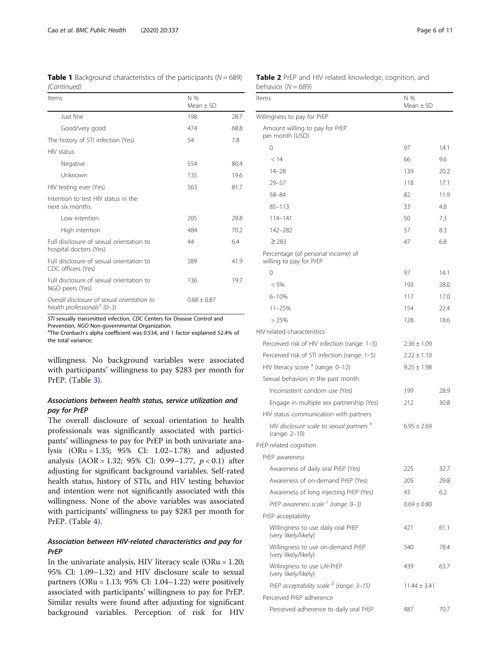<span id="page-5-0"></span>

|             |  | <b>Table 1</b> Background characteristics of the participants ( $N = 689$ ) |  |  |
|-------------|--|-----------------------------------------------------------------------------|--|--|
| (Continued) |  |                                                                             |  |  |

|                      |  | Table 2 PrEP and HIV related knowledge, cognition, and |
|----------------------|--|--------------------------------------------------------|
| behavior $(N = 689)$ |  |                                                        |

| Items                                                                                  | N %<br>$Mean + SD$ |      |
|----------------------------------------------------------------------------------------|--------------------|------|
| Just fine                                                                              | 198                | 28.7 |
| Good/very good                                                                         | 474                | 68.8 |
| The history of STI infection (Yes)                                                     | 54                 | 7.8  |
| <b>HIV</b> status                                                                      |                    |      |
| Negative                                                                               | 554                | 80.4 |
| Unknown                                                                                | 135                | 19.6 |
| HIV testing ever (Yes)                                                                 | 563                | 81.7 |
| Intention to test HIV status in the<br>next six months                                 |                    |      |
| Low intention                                                                          | 205                | 29.8 |
| High intention                                                                         | 484                | 70.2 |
| Full disclosure of sexual orientation to<br>hospital doctors (Yes)                     | 44                 | 6.4  |
| Full disclosure of sexual orientation to<br>CDC officers (Yes)                         | 289                | 41.9 |
| Full disclosure of sexual orientation to<br>NGO peers (Yes)                            | 136                | 19.7 |
| Overall disclosure of sexual orientation to<br>health professionals <sup>a</sup> (0-3) | $0.68 + 0.87$      |      |

STI sexually transmitted infection, CDC Centers for Disease Control and Prevention, NGO Non-governmental Organization.

<sup>a</sup>The Cronbach's alpha coefficient was 0.534, and 1 factor explained 52.4% of the total variance;

willingness. No background variables were associated with participants' willingness to pay \$283 per month for PrEP. (Table [3](#page-6-0)).

#### Associations between health status, service utilization and pay for PrEP

The overall disclosure of sexual orientation to health professionals was significantly associated with participants' willingness to pay for PrEP in both univariate analysis (ORu = 1.35; 95% CI: 1.02–1.78) and adjusted analysis  $(AOR = 1.32; 95\% CI: 0.99-1.77, p < 0.1)$  after adjusting for significant background variables. Self-rated health status, history of STIs, and HIV testing behavior and intention were not significantly associated with this willingness. None of the above variables was associated with participants' willingness to pay \$283 per month for PrEP. (Table [4](#page-7-0)).

#### Association between HIV-related characteristics and pay for PrEP

In the univariate analysis, HIV literacy scale ( $ORu = 1.20$ ; 95% CI: 1.09–1.32) and HIV disclosure scale to sexual partners (ORu = 1.13; 95% CI: 1.04–1.22) were positively associated with participants' willingness to pay for PrEP. Similar results were found after adjusting for significant background variables. Perception of risk for HIV

| Items                                                         | N %<br>Mean ± SD |      |
|---------------------------------------------------------------|------------------|------|
| Willingness to pay for PrEP                                   |                  |      |
| Amount willing to pay for PrEP<br>per month (USD)             |                  |      |
| 0                                                             | 97               | 14.1 |
| < 14                                                          | 66               | 9.6  |
| 14–28                                                         | 139              | 20.2 |
| $29 - 57$                                                     | 118              | 17.1 |
| 58-84                                                         | 82               | 11.9 |
| $85 - 113$                                                    | 33               | 4.8  |
| 114-141                                                       | 50               | 7.3  |
| 142-282                                                       | 57               | 8.3  |
| $\geq 283$                                                    | 47               | 6.8  |
| Percentage (of personal income) of<br>willing to pay for PrEP |                  |      |
| 0                                                             | 97               | 14.1 |
| < 5%                                                          | 193              | 28.0 |
| $6 - 10%$                                                     | 117              | 17.0 |
| $11 - 25%$                                                    | 154              | 22.4 |
| >25%                                                          | 128              | 18.6 |
| HIV-related characteristics                                   |                  |      |
| Perceived risk of HIV infection (range: 1-5)                  | $2.36 \pm 1.09$  |      |
| Perceived risk of STI infection (range: 1-5)                  | $2.22 \pm 1.10$  |      |
| HIV literacy score <sup>a</sup> (range: 0-12)                 | $9.25 \pm 1.98$  |      |
| Sexual behaviors in the past month                            |                  |      |
| Inconsistent condom use (Yes)                                 | 199              | 28.9 |
| Engage in multiple sex partnership (Yes)                      | 212              | 30.8 |
| HIV status communication with partners                        |                  |      |
| HIV disclosure scale to sexual partners b<br>(range: 2-10)    | $6.95 \pm 2.69$  |      |
| PrEP-related cognition                                        |                  |      |
| PrEP awareness                                                |                  |      |
| Awareness of daily oral PrEP (Yes)                            | 225              | 32.7 |
| Awareness of on-demand PrEP (Yes)                             | 205              | 29.8 |
| Awareness of long injecting PrEP (Yes)                        | 43               | 6.2  |
| PrEP awareness scale $\epsilon$ (range: 0-3)                  | $0.69 \pm 0.80$  |      |
| PrEP acceptability                                            |                  |      |
| Willingness to use daily oral PrEP<br>(very likely/likely)    | 421              | 61.1 |
| Willingness to use on-demand PrEP<br>(very likely/likely)     | 540              | 78.4 |
| Willingness to use LAI-PrEP<br>(very likely/likely)           | 439              | 63.7 |
| PrEP acceptability scale <sup>d</sup> (range: 3-15)           | $11.44 \pm 3.41$ |      |
| Perceived PrEP adherence                                      |                  |      |
| Perceived adherence to daily oral PrEP                        | 487              | 70.7 |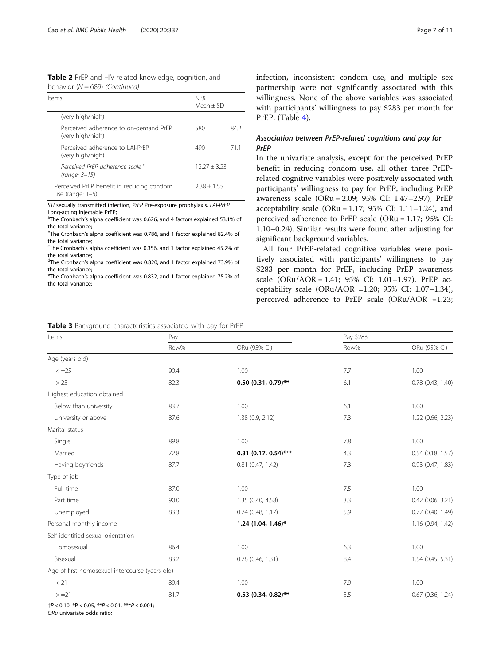<span id="page-6-0"></span>

| <b>Table 2</b> PrEP and HIV related knowledge, cognition, and |  |  |  |
|---------------------------------------------------------------|--|--|--|
| behavior ( $N = 689$ ) (Continued)                            |  |  |  |

| Items                                                            | N %<br>Mean + SD |
|------------------------------------------------------------------|------------------|
| (very high/high)                                                 |                  |
| Perceived adherence to on-demand PrEP<br>(very high/high)        | 580<br>84 2      |
| Perceived adherence to LAI-PrEP<br>(very high/high)              | 490<br>711       |
| Perceived PrFP adherence scale <sup>e</sup><br>$(range: 3-15)$   | $12.27 + 3.23$   |
| Perceived PrEP benefit in reducing condom<br>use (range: $1-5$ ) | $2.38 + 1.55$    |

STI sexually transmitted infection, PrEP Pre-exposure prophylaxis, LAI-PrEP Long-acting Injectable PrEP;

<sup>a</sup>The Cronbach's alpha coefficient was 0.626, and 4 factors explained 53.1% of the total variance;

<sup>b</sup>The Cronbach's alpha coefficient was 0.786, and 1 factor explained 82.4% of the total variance;

<sup>c</sup>The Cronbach's alpha coefficient was 0.356, and 1 factor explained 45.2% of the total variance;

<sup>d</sup>The Cronbach's alpha coefficient was 0.820, and 1 factor explained 73.9% of the total variance;

<sup>e</sup>The Cronbach's alpha coefficient was 0.832, and 1 factor explained 75.2% of the total variance;

infection, inconsistent condom use, and multiple sex partnership were not significantly associated with this willingness. None of the above variables was associated with participants' willingness to pay \$283 per month for PrEP. (Table [4](#page-7-0)).

#### Association between PrEP-related cognitions and pay for PrEP

In the univariate analysis, except for the perceived PrEP benefit in reducing condom use, all other three PrEPrelated cognitive variables were positively associated with participants' willingness to pay for PrEP, including PrEP awareness scale (ORu = 2.09; 95% CI: 1.47–2.97), PrEP acceptability scale (ORu = 1.17;  $95\%$  CI: 1.11–1.24), and perceived adherence to PrEP scale (ORu = 1.17; 95% CI: 1.10–0.24). Similar results were found after adjusting for significant background variables.

All four PrEP-related cognitive variables were positively associated with participants' willingness to pay \$283 per month for PrEP, including PrEP awareness scale (ORu/AOR = 1.41; 95% CI: 1.01–1.97), PrEP acceptability scale (ORu/AOR =1.20; 95% CI: 1.07–1.34), perceived adherence to PrEP scale (ORu/AOR =1.23;

#### Table 3 Background characteristics associated with pay for PrEP

| Items                                           | Pay                            |                        | Pay \$283 |                       |
|-------------------------------------------------|--------------------------------|------------------------|-----------|-----------------------|
|                                                 | Row%                           | ORu (95% CI)           | Row%      | ORu (95% CI)          |
| Age (years old)                                 |                                |                        |           |                       |
| $\leq$ =25                                      | 90.4                           | 1.00                   | 7.7       | 1.00                  |
| >25                                             | 82.3                           | $0.50$ (0.31, 0.79)**  | 6.1       | 0.78 (0.43, 1.40)     |
| Highest education obtained                      |                                |                        |           |                       |
| Below than university                           | 83.7                           | 1.00                   | 6.1       | 1.00                  |
| University or above                             | 87.6                           | 1.38(0.9, 2.12)        | 7.3       | 1.22 (0.66, 2.23)     |
| Marital status                                  |                                |                        |           |                       |
| Single                                          | 89.8                           | 1.00                   | 7.8       | 1.00                  |
| Married                                         | 72.8                           | $0.31$ (0.17, 0.54)*** | 4.3       | $0.54$ (0.18, 1.57)   |
| Having boyfriends                               | 87.7                           | $0.81$ $(0.47, 1.42)$  | 7.3       | $0.93$ $(0.47, 1.83)$ |
| Type of job                                     |                                |                        |           |                       |
| Full time                                       | 87.0                           | 1.00                   | 7.5       | 1.00                  |
| Part time                                       | 90.0                           | 1.35 (0.40, 4.58)      | 3.3       | 0.42 (0.06, 3.21)     |
| Unemployed                                      | 83.3                           | $0.74$ $(0.48, 1.17)$  | 5.9       | 0.77 (0.40, 1.49)     |
| Personal monthly income                         | $\qquad \qquad \longleftarrow$ | 1.24 (1.04, 1.46)*     |           | 1.16 (0.94, 1.42)     |
| Self-identified sexual orientation              |                                |                        |           |                       |
| Homosexual                                      | 86.4                           | 1.00                   | 6.3       | 1.00                  |
| Bisexual                                        | 83.2                           | $0.78$ $(0.46, 1.31)$  | 8.4       | 1.54 (0.45, 5.31)     |
| Age of first homosexual intercourse (years old) |                                |                        |           |                       |
| < 21                                            | 89.4                           | 1.00                   | 7.9       | 1.00                  |
| $> = 21$                                        | 81.7                           | $0.53$ (0.34, 0.82)**  | 5.5       | $0.67$ (0.36, 1.24)   |

†P < 0.10, \*P < 0.05, \*\*P < 0.01, \*\*\*P < 0.001;

ORu univariate odds ratio;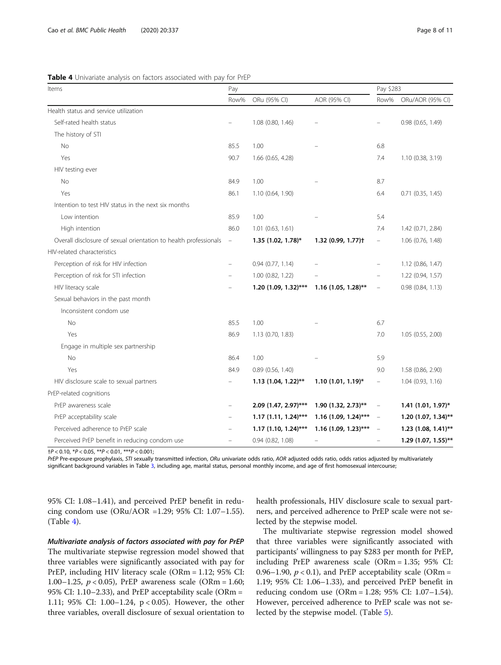| Items                                                            | Pay                      |                        |                                  | Pay \$283 |                       |
|------------------------------------------------------------------|--------------------------|------------------------|----------------------------------|-----------|-----------------------|
|                                                                  | Row%                     | ORu (95% CI)           | AOR (95% CI)                     | Row%      | ORu/AOR (95% CI)      |
| Health status and service utilization                            |                          |                        |                                  |           |                       |
| Self-rated health status                                         |                          | 1.08 (0.80, 1.46)      |                                  | ÷         | $0.98$ $(0.65, 1.49)$ |
| The history of STI                                               |                          |                        |                                  |           |                       |
| No                                                               | 85.5                     | 1.00                   |                                  | 6.8       |                       |
| Yes                                                              | 90.7                     | 1.66 (0.65, 4.28)      |                                  | 7.4       | 1.10 (0.38, 3.19)     |
| HIV testing ever                                                 |                          |                        |                                  |           |                       |
| No                                                               | 84.9                     | 1.00                   |                                  | 8.7       |                       |
| Yes                                                              | 86.1                     | 1.10 (0.64, 1.90)      |                                  | 6.4       | $0.71$ $(0.35, 1.45)$ |
| Intention to test HIV status in the next six months              |                          |                        |                                  |           |                       |
| Low intention                                                    | 85.9                     | 1.00                   |                                  | 5.4       |                       |
| High intention                                                   | 86.0                     | $1.01$ (0.63, 1.61)    |                                  | 7.4       | 1.42 (0.71, 2.84)     |
| Overall disclosure of sexual orientation to health professionals | $\equiv$                 | 1.35 (1.02, 1.78)*     | $1.32$ (0.99, 1.77) <sup>+</sup> | $\equiv$  | 1.06 (0.76, 1.48)     |
| HIV-related characteristics                                      |                          |                        |                                  |           |                       |
| Perception of risk for HIV infection                             |                          | 0.94(0.77, 1.14)       |                                  |           | 1.12 (0.86, 1.47)     |
| Perception of risk for STI infection                             |                          | 1.00 (0.82, 1.22)      |                                  |           | 1.22 (0.94, 1.57)     |
| HIV literacy scale                                               |                          | $1.20$ (1.09, 1.32)*** | $1.16$ (1.05, 1.28)**            | $\equiv$  | 0.98(0.84, 1.13)      |
| Sexual behaviors in the past month                               |                          |                        |                                  |           |                       |
| Inconsistent condom use                                          |                          |                        |                                  |           |                       |
| No                                                               | 85.5                     | 1.00                   |                                  | 6.7       |                       |
| Yes                                                              | 86.9                     | 1.13 (0.70, 1.83)      |                                  | 7.0       | 1.05 (0.55, 2.00)     |
| Engage in multiple sex partnership                               |                          |                        |                                  |           |                       |
| <b>No</b>                                                        | 86.4                     | 1.00                   |                                  | 5.9       |                       |
| Yes                                                              | 84.9                     | $0.89$ (0.56, 1.40)    |                                  | 9.0       | 1.58 (0.86, 2.90)     |
| HIV disclosure scale to sexual partners                          |                          | $1.13$ (1.04, 1.22)**  | $1.10(1.01, 1.19)^*$             | $\equiv$  | 1.04(0.93, 1.16)      |
| PrEP-related cognitions                                          |                          |                        |                                  |           |                       |
| PrEP awareness scale                                             | $\overline{\phantom{0}}$ | 2.09 (1.47, 2.97)***   | 1.90 (1.32, 2.73)**              | $\bar{ }$ | $1.41$ (1.01, 1.97)*  |
| PrEP acceptability scale                                         | $\overline{a}$           | $1.17(1.11, 1.24)$ *** | $1.16$ (1.09, 1.24)***           | $\bar{ }$ | $1.20$ (1.07, 1.34)** |
| Perceived adherence to PrEP scale                                |                          | $1.17$ (1.10, 1.24)*** | 1.16 (1.09, 1.23)***             | $\equiv$  | $1.23$ (1.08, 1.41)** |
| Perceived PrEP benefit in reducing condom use                    | $\overline{\phantom{0}}$ | $0.94$ $(0.82, 1.08)$  | $\qquad \qquad -$                | $\equiv$  | $1.29$ (1.07, 1.55)** |

#### <span id="page-7-0"></span>Table 4 Univariate analysis on factors associated with pay for PrEP

†P < 0.10, \*P < 0.05, \*\*P < 0.01, \*\*\*P < 0.001;

PrEP Pre-exposure prophylaxis, STI sexually transmitted infection, ORu univariate odds ratio, AOR adjusted odds ratio, odds ratios adjusted by multivariately significant background variables in Table [3](#page-6-0), including age, marital status, personal monthly income, and age of first homosexual intercourse;

95% CI: 1.08–1.41), and perceived PrEP benefit in reducing condom use (ORu/AOR =1.29; 95% CI: 1.07–1.55). (Table 4).

health professionals, HIV disclosure scale to sexual partners, and perceived adherence to PrEP scale were not selected by the stepwise model.

Multivariate analysis of factors associated with pay for PrEP The multivariate stepwise regression model showed that three variables were significantly associated with pay for PrEP, including HIV literacy scale (ORm = 1.12; 95% CI: 1.00–1.25,  $p < 0.05$ ), PrEP awareness scale (ORm = 1.60; 95% CI: 1.10–2.33), and PrEP acceptability scale (ORm = 1.11; 95% CI: 1.00–1.24, p < 0.05). However, the other three variables, overall disclosure of sexual orientation to

The multivariate stepwise regression model showed that three variables were significantly associated with participants' willingness to pay \$283 per month for PrEP, including PrEP awareness scale (ORm = 1.35; 95% CI: 0.96–1.90,  $p < 0.1$ ), and PrEP acceptability scale (ORm = 1.19; 95% CI: 1.06–1.33), and perceived PrEP benefit in reducing condom use (ORm = 1.28; 95% CI: 1.07–1.54). However, perceived adherence to PrEP scale was not selected by the stepwise model. (Table [5\)](#page-8-0).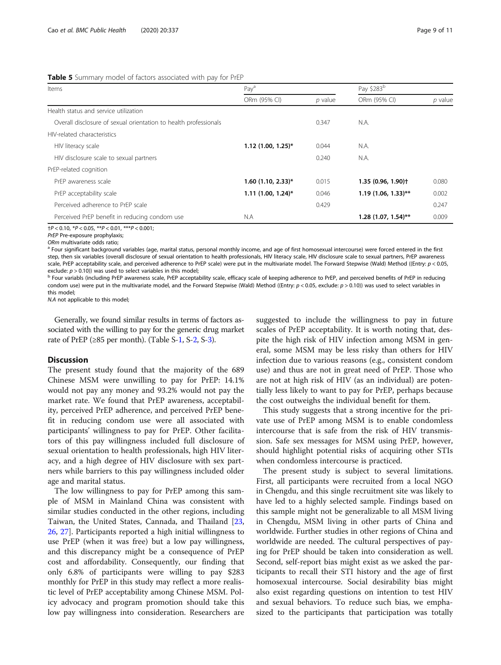#### <span id="page-8-0"></span>Table 5 Summary model of factors associated with pay for PrEP

| Items                                                            | Pay <sup>a</sup>     |           | Pay \$283 <sup>b</sup>          |         |  |
|------------------------------------------------------------------|----------------------|-----------|---------------------------------|---------|--|
|                                                                  | ORm (95% CI)         | $p$ value | ORm (95% CI)                    | p value |  |
| Health status and service utilization                            |                      |           |                                 |         |  |
| Overall disclosure of sexual orientation to health professionals |                      | 0.347     | N.A.                            |         |  |
| HIV-related characteristics                                      |                      |           |                                 |         |  |
| HIV literacy scale                                               | $1.12$ (1.00, 1.25)* | 0.044     | N.A.                            |         |  |
| HIV disclosure scale to sexual partners                          |                      | 0.240     | N.A.                            |         |  |
| PrEP-related cognition                                           |                      |           |                                 |         |  |
| PrFP awareness scale                                             | $1.60$ (1.10, 2.33)* | 0.015     | $1.35(0.96, 1.90)$ <sup>+</sup> | 0.080   |  |
| PrEP acceptability scale                                         | $1.11$ (1.00, 1.24)* | 0.046     | $1.19$ (1.06, 1.33)**           | 0.002   |  |
| Perceived adherence to PrEP scale                                |                      | 0.429     |                                 | 0.247   |  |
| Perceived PrEP benefit in reducing condom use                    | N.A                  |           | $1.28$ (1.07, 1.54)**           | 0.009   |  |

†P < 0.10, \*P < 0.05, \*\*P < 0.01, \*\*\*P < 0.001;

PrEP Pre-exposure prophylaxis;

ORm multivariate odds ratio;<br><sup>a</sup> Four significant background variables (age, marital status, personal monthly income, and age of first homosexual intercourse) were forced entered in the first step, then six variables (overall disclosure of sexual orientation to health professionals, HIV literacy scale, HIV disclosure scale to sexual partners, PrEP awareness scale, PrEP acceptability scale, and perceived adherence to PrEP scale) were put in the multivariate model. The Forward Stepwise (Wald) Method ((Entry:  $p < 0.05$ ,

exclude: p > 0.10)) was used to select variables in this model;<br><sup>b</sup> Four variabls (including PrEP awareness scale, PrEP acceptability scale, efficacy scale of keeping adherence to PrEP, and perceived benefits of PrEP in re condom use) were put in the multivariate model, and the Forward Stepwise (Wald) Method ((Entry:  $p < 0.05$ , exclude:  $p > 0.10$ )) was used to select variables in this model;

N.A not applicable to this model;

Generally, we found similar results in terms of factors associated with the willing to pay for the generic drug market rate of PrEP ( $\geq 85$  per month). (Table S[-1,](#page-9-0) S-[2](#page-9-0), S[-3\)](#page-9-0).

#### **Discussion**

The present study found that the majority of the 689 Chinese MSM were unwilling to pay for PrEP: 14.1% would not pay any money and 93.2% would not pay the market rate. We found that PrEP awareness, acceptability, perceived PrEP adherence, and perceived PrEP benefit in reducing condom use were all associated with participants' willingness to pay for PrEP. Other facilitators of this pay willingness included full disclosure of sexual orientation to health professionals, high HIV literacy, and a high degree of HIV disclosure with sex partners while barriers to this pay willingness included older age and marital status.

The low willingness to pay for PrEP among this sample of MSM in Mainland China was consistent with similar studies conducted in the other regions, including Taiwan, the United States, Cannada, and Thailand [[23](#page-10-0), [26,](#page-10-0) [27\]](#page-10-0). Participants reported a high initial willingness to use PrEP (when it was free) but a low pay willingness, and this discrepancy might be a consequence of PrEP cost and affordability. Consequently, our finding that only 6.8% of participants were willing to pay \$283 monthly for PrEP in this study may reflect a more realistic level of PrEP acceptability among Chinese MSM. Policy advocacy and program promotion should take this low pay willingness into consideration. Researchers are

suggested to include the willingness to pay in future scales of PrEP acceptability. It is worth noting that, despite the high risk of HIV infection among MSM in general, some MSM may be less risky than others for HIV infection due to various reasons (e.g., consistent condom use) and thus are not in great need of PrEP. Those who are not at high risk of HIV (as an individual) are potentially less likely to want to pay for PrEP, perhaps because the cost outweighs the individual benefit for them.

This study suggests that a strong incentive for the private use of PrEP among MSM is to enable condomless intercourse that is safe from the risk of HIV transmission. Safe sex messages for MSM using PrEP, however, should highlight potential risks of acquiring other STIs when condomless intercourse is practiced.

The present study is subject to several limitations. First, all participants were recruited from a local NGO in Chengdu, and this single recruitment site was likely to have led to a highly selected sample. Findings based on this sample might not be generalizable to all MSM living in Chengdu, MSM living in other parts of China and worldwide. Further studies in other regions of China and worldwide are needed. The cultural perspectives of paying for PrEP should be taken into consideration as well. Second, self-report bias might exist as we asked the participants to recall their STI history and the age of first homosexual intercourse. Social desirability bias might also exist regarding questions on intention to test HIV and sexual behaviors. To reduce such bias, we emphasized to the participants that participation was totally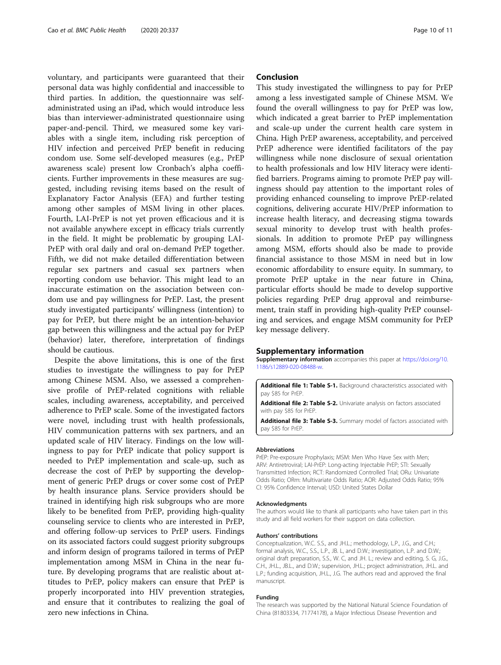<span id="page-9-0"></span>voluntary, and participants were guaranteed that their personal data was highly confidential and inaccessible to third parties. In addition, the questionnaire was selfadministrated using an iPad, which would introduce less bias than interviewer-administrated questionnaire using paper-and-pencil. Third, we measured some key variables with a single item, including risk perception of HIV infection and perceived PrEP benefit in reducing condom use. Some self-developed measures (e.g., PrEP awareness scale) present low Cronbach's alpha coefficients. Further improvements in these measures are suggested, including revising items based on the result of Explanatory Factor Analysis (EFA) and further testing among other samples of MSM living in other places. Fourth, LAI-PrEP is not yet proven efficacious and it is not available anywhere except in efficacy trials currently in the field. It might be problematic by grouping LAI-PrEP with oral daily and oral on-demand PrEP together. Fifth, we did not make detailed differentiation between regular sex partners and casual sex partners when reporting condom use behavior. This might lead to an inaccurate estimation on the association between condom use and pay willingness for PrEP. Last, the present study investigated participants' willingness (intention) to pay for PrEP, but there might be an intention-behavior gap between this willingness and the actual pay for PrEP (behavior) later, therefore, interpretation of findings should be cautious.

Despite the above limitations, this is one of the first studies to investigate the willingness to pay for PrEP among Chinese MSM. Also, we assessed a comprehensive profile of PrEP-related cognitions with reliable scales, including awareness, acceptability, and perceived adherence to PrEP scale. Some of the investigated factors were novel, including trust with health professionals, HIV communication patterns with sex partners, and an updated scale of HIV literacy. Findings on the low willingness to pay for PrEP indicate that policy support is needed to PrEP implementation and scale-up, such as decrease the cost of PrEP by supporting the development of generic PrEP drugs or cover some cost of PrEP by health insurance plans. Service providers should be trained in identifying high risk subgroups who are more likely to be benefited from PrEP, providing high-quality counseling service to clients who are interested in PrEP, and offering follow-up services to PrEP users. Findings on its associated factors could suggest priority subgroups and inform design of programs tailored in terms of PrEP implementation among MSM in China in the near future. By developing programs that are realistic about attitudes to PrEP, policy makers can ensure that PrEP is properly incorporated into HIV prevention strategies, and ensure that it contributes to realizing the goal of zero new infections in China.

#### Conclusion

This study investigated the willingness to pay for PrEP among a less investigated sample of Chinese MSM. We found the overall willingness to pay for PrEP was low, which indicated a great barrier to PrEP implementation and scale-up under the current health care system in China. High PrEP awareness, acceptability, and perceived PrEP adherence were identified facilitators of the pay willingness while none disclosure of sexual orientation to health professionals and low HIV literacy were identified barriers. Programs aiming to promote PrEP pay willingness should pay attention to the important roles of providing enhanced counseling to improve PrEP-related cognitions, delivering accurate HIV/PrEP information to increase health literacy, and decreasing stigma towards sexual minority to develop trust with health professionals. In addition to promote PrEP pay willingness among MSM, efforts should also be made to provide financial assistance to those MSM in need but in low economic affordability to ensure equity. In summary, to promote PrEP uptake in the near future in China, particular efforts should be made to develop supportive policies regarding PrEP drug approval and reimbursement, train staff in providing high-quality PrEP counseling and services, and engage MSM community for PrEP key message delivery.

#### Supplementary information

Supplementary information accompanies this paper at [https://doi.org/10.](https://doi.org/10.1186/s12889-020-08488-w) [1186/s12889-020-08488-w](https://doi.org/10.1186/s12889-020-08488-w).

Additional file 1: Table S-1. Background characteristics associated with pay \$85 for PrEP.

Additional file 2: Table S-2. Univariate analysis on factors associated with pay \$85 for PrFP.

Additional file 3: Table S-3. Summary model of factors associated with pay \$85 for PrEP

#### Abbreviations

PrEP: Pre-exposure Prophylaxis; MSM: Men Who Have Sex with Men; ARV: Antiretroviral; LAI-PrEP: Long-acting Injectable PrEP; STI: Sexually Transmitted Infection; RCT: Randomized Controlled Trial; ORu: Univariate Odds Ratio; ORm: Multivariate Odds Ratio; AOR: Adjusted Odds Ratio; 95% CI: 95% Confidence Interval; USD: United States Dollar

#### Acknowledgments

The authors would like to thank all participants who have taken part in this study and all field workers for their support on data collection.

#### Authors' contributions

Conceptualization, W.C. S.S., and JH.L.; methodology, L.P., J.G., and C.H.; formal analysis, W.C., S.S., L.P., JB. L, and D.W.; investigation, L.P. and D.W.; original draft preparation, S.S., W. C, and JH. L.; review and editing, S. G, J.G., C.H., JH.L., JB.L., and D.W.; supervision, JH.L.; project administration, JH.L. and L.P.; funding acquisition, JH.L., J.G. The authors read and approved the final manuscript.

#### Funding

The research was supported by the National Natural Science Foundation of China (81803334, 71774178), a Major Infectious Disease Prevention and